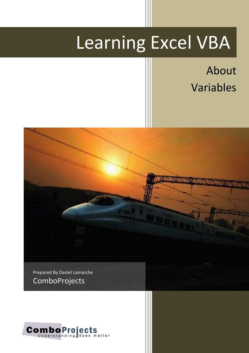# Learning Excel VBA

About Variables



Prepared By Daniel Lamarche **ComboProjects** 

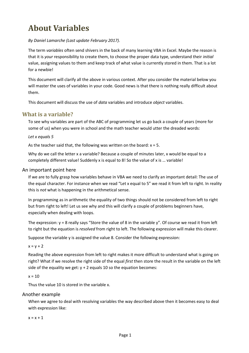# **About Variables**

#### *By Daniel Lamarche (Last update February 2017).*

The term *variables* often send shivers in the back of many learning VBA in Excel. Maybe the reason is that it is *your* responsibility to create them, to choose the proper data type, understand their *initial* value, assigning values to them and keep track of what value is currently stored in them. That is a lot for a newbie!

This document will clarify all the above in various context. After you consider the material below you will master the uses of variables in your code. Good news is that there is nothing really difficult about them.

This document will discuss the use of *data* variables and introduce *object* variables.

# **What is a variable?**

To see why variables are part of the ABC of programming let us go back a couple of years (more for some of us) when you were in school and the math teacher would utter the dreaded words:

#### *Let x equals 5*

As the teacher said that, the following was written on the board:  $x = 5$ .

Why do we call the letter x a variable? Because a couple of minutes later, x would be equal to a completely different value! Suddenly x is equal to 8! So the value of x is … variable!

#### An important point here

If we are to fully grasp how variables behave in VBA we need to clarify an important detail: The use of the equal character. For instance when we read "Let x equal to 5" we read it from left to right. In reality this is *not* what is happening in the arithmetical sense.

In programming as in arithmetic the equality of two things should not be considered from left to right but from right to left! Let us see why and this will clarify a couple of problems beginners have, especially when dealing with loops.

The expression:  $y = 8$  really says "Store the value of 8 in the variable  $y$ ". Of course we read it from left to right but the equation is *resolved* from right to left. The following expression will make this clearer.

Suppose the variable y is assigned the value 8. Consider the following expression:

#### $x = y + 2$

Reading the above expression from left to right makes it more difficult to understand what is going on right? What if we resolve the right side of the equal *first* then store the result in the variable on the left side of the equality we get:  $y + 2$  equals 10 so the equation becomes:

#### $x = 10$

Thus the value 10 is stored in the variable x.

#### Another example

When we agree to deal with resolving variables the way described above then it becomes easy to deal with expression like:

#### $x = x + 1$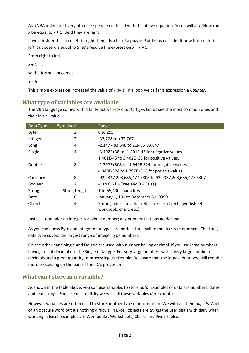As a VBA instructor I very often see people confused with the above equation. Some will ask "How can x be equal to  $x + 1$ ? And they are right!

If we consider this from left to right then it is a bit of a puzzle. But let us consider it now from right to left. Suppose x is equal to 5 let's resolve the expression  $x = x + 1$ .

From right to left:

 $x + 1 = 6$ 

so the formula becomes:

 $x = 6$ 

This simple expression increased the value of x by 1. In a loop we call this expression a *Counter*.

# **What type of variables are available**

The VBA language comes with a fairly rich variety of *data type*. Let us see the most common ones and their initial value.

| Data Type      | <b>Byte Used</b>     | Range                                                                               |
|----------------|----------------------|-------------------------------------------------------------------------------------|
| Byte           | 2                    | 0 to 255                                                                            |
| Integer        | 2                    | $-32,768$ to $+32,767$                                                              |
| Long           | 4                    | -2,147,483,648 to 2,147,483,647                                                     |
| Single         | 4                    | $-3.402E+38$ to $-1.401E-45$ for negative values                                    |
|                |                      | 1.401E-45 to 3.402E+38 for positive values.                                         |
| Double         | 8                    | $-1.797E+308$ to $-4.940E-324$ for negative values                                  |
|                |                      | 4.940E-324 to 1.797E+308 for positive values.                                       |
| Currency       | 8                    | -922,337,203,685,477.5808 to 922,337,203,685,477.5807                               |
| <b>Boolean</b> | 2                    | $-1$ to 0 ( $-1$ = True and 0 = False)                                              |
| <b>String</b>  | <b>String Length</b> | 1 to 65,400 characters                                                              |
| Date           | 8                    | January 1, 100 to December 31, 9999                                                 |
| Object         | 4                    | Storing addresses that refer to Excel objects (worksheet,<br>workbook, chart, etc.) |

Just as a reminder an integer is a whole number; any number that has no decimal.

As you can guess Byte and Integer data types are perfect for small to medium size numbers. The Long data type covers the largest range of integer type numbers.

On the other hand Single and Double are used with number having decimal. If you use large numbers having lots of decimal use the Single data type. For very large numbers with a very large number of decimals and a great quantity of processing use Double. Be aware that the largest data type will require more processing on the part of the PC's processor.

# **What can I store in a variable?**

As shown in the table above, you can use variables to store *data*. Examples of data are numbers, dates and text strings. For sake of simplicity we will call these variables *data* variables.

However variables are often used to store another type of information. We will call them *objects*. A bit of an obscure word but it's nothing difficult. In Excel, objects are *things* the user deals with daily when working in Excel. Examples are Workbooks, Worksheets, Charts and Pivot Tables.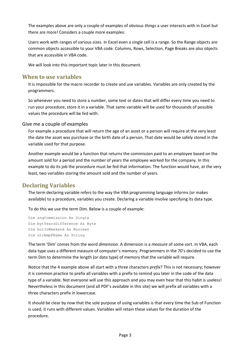The examples above are only a couple of examples of obvious *things* a user interacts with in Excel but there are more! Considers a couple more examples:

Users work with ranges of various sizes. In Excel even a single cell is a range. So the Range objects are common objects accessible to your VBA code. Columns, Rows, Selection, Page Breaks are also objects that are accessible in VBA code.

We will look into this important topic later in this document.

# **When to use variables**

It is impossible for the macro recorder to create and use variables. Variables are only created by the programmers.

So whenever you need to store a number, some text or dates that will differ every time you need to run your procedure, store it in a variable. That same variable will be used for thousands of possible values the procedure will be fed with.

Give me a couple of examples

For example a procedure that will return the age of an asset or a person will require at the very least the date the asset was purchase or the birth date of a person. That date would be safely stored in the variable used for that purpose.

Another example would be a function that returns the commission paid to an employee based on the amount sold for a period and the number of years the employee worked for the company. In this example to do its job the procedure must be fed that information. The function would have, at the very least, two variables storing the amount sold and the number of years.

# **Declaring Variables**

The term declaring variable refers to the way the VBA programming language informs (or makes available) to a procedure, variables you create. Declaring a variable involve specifying its data type.

To do this we use the term Dim. Below is a couple of example:

```
Dim sngCommission As Single
Dim bytYearsDifference As Byte
Dim bolInWeekend As Boolean
Dim strEmpFName As String
```
The term 'Dim' comes from the word *dimension*. A dimension is a *measure* of some sort. In VBA, each data type uses a different measure of computer's memory. Programmers in the 70's decided to use the term Dim to determine the length (or data type) of memory that the variable will require.

Notice that the 4 example above all start with a three characters *prefix*? This is not necessary; however it is common practice to prefix all variables with a prefix to remind you later in the code of the data type of a variable. Not everyone will use this approach and you may even hear that this habit is useless! Nevertheless in this document (and all PDF's available in this site) we will prefix all variables with a three characters prefix in lowercase.

It should be clear by now that the sole purpose of using variables is that every time the Sub of Function is used, it runs with different values. Variables will retain these values for the duration of the procedure.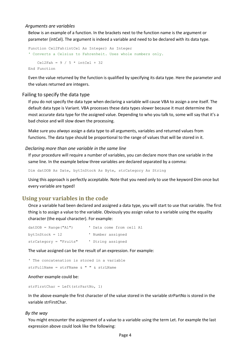#### *Arguments are variables*

Below is an example of a function. In the brackets next to the function name is the argument or parameter (intCel). The argument is indeed a variable and need to be declared with its data type.

```
Function Cel2Fah(intCel As Integer) As Integer
' Converts a Celsius to Fahrenheit. Uses whole numbers only.
   Cel2Fah = 9 / 5 * intCel + 32
End Function
```
Even the value returned by the function is qualified by specifying its data type. Here the parameter and the values returned are integers.

#### Failing to specify the data type

If you do not specify the data type when declaring a variable will cause VBA to assign a one itself. The default data type is Variant. VBA processes these data types slower because it must determine the most accurate data type for the assigned value. Depending to who you talk to, some will say that it's a bad choice and will slow down the processing.

Make sure you *always* assign a data type to all arguments, variables and returned values from functions. The data type should be proportional to the range of values that will be stored in it.

#### *Declaring more than one variable in the same line*

If your procedure will require a number of variables, you can declare more than one variable in the same line. In the example below three variables are declared separated by a comma:

Dim datDOB As Date, bytInStock As Byte, strCategory As String

Using this approach is perfectly acceptable. Note that you need only to use the keyword Dim once but every variable are typed!

# **Using your variables in the code**

Once a variable had been declared and assigned a data type, you will start to use that variable. The first thing is to assign a value to the variable. Obviously you assign value to a variable using the equality character (the equal character). For example:

| $datDOB = Range('A1")$   | ' Data come from cell A1 |  |  |
|--------------------------|--------------------------|--|--|
| bytInStock = 12          | ' Number assigned        |  |  |
| $strCateqory = "Fruits"$ | ' String assigned        |  |  |

The value assigned can be the result of an expression. For example:

' The concatenation is stored in a variable strFullName = strFName & " " & strLName

Another example could be:

strFirstChar = Left(strPartNo, 1)

In the above example the first character of the value stored in the variable strPartNo is stored in the variable strFirstChar.

#### *By the way*

You might encounter the assignment of a value to a variable using the term Let. For example the last expression above could look like the following: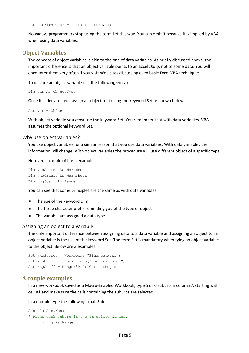Let strFirstChar = Left(strPartNo, 1)

Nowadays programmers stop using the term Let this way. You can omit it because it is implied by VBA when using data variables.

# **Object Variables**

The concept of object variables is akin to the one of data variables. As briefly discussed above, the important difference is that an object variable points to an Excel *thing*, not to some data. You will encounter them very often if you visit Web sites discussing even basic Excel VBA techniques.

To declare an object variable use the following syntax:

```
Dim var As ObjectType
```
Once it is declared you assign an object to it using the keyword Set as shown below:

```
Set var = Object
```
With object variable you *must* use the keyword Set. You remember that with data variables, VBA assumes the optional keyword Let.

#### Why use object variables?

You use object variables for a similar reason that you use data variables. With data variables the information will change. With object variables the procedure will use different object of a specific type.

Here are a couple of basic examples:

Dim wkbStores As Workbook Dim wksOrders As Worksheet Dim rngStaff As Range

You can see that some principles are the same as with data variables.

- The use of the keyword Dim
- The three character prefix reminding you of the type of object
- The variable are assigned a data type

#### Assigning an object to a variable

The only important difference between assigning data to a data variable and assigning an object to an object variable is the use of the keyword Set. The term Set is mandatory when tying an object variable to the object. Below are 3 examples:

```
Set wkbStores = Workbooks("Finance.xlxs")
Set wksOrders = Worksheets("January Sales")
Set rngStaff = Range("A1").CurrentRegion
```
# **A couple examples**

In a new workbook saved as a Macro-Enabled Workbook, type 5 or 6 suburb in column A starting with cell A1 and make sure the cells containing the suburbs are selected

In a module type the following small Sub:

```
Sub ListSuburbs()
' Print each suburb in the Immediate Window.
     Dim rng As Range
```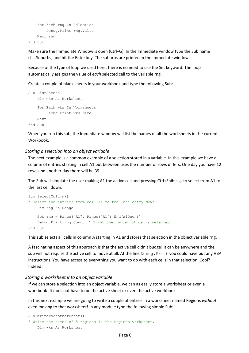```
 For Each rng In Selection
         Debug.Print rng.Value
    Next rng
End Sub
```
Make sure the Immediate Window is open (Ctrl+G). In the Immediate window type the Sub name (ListSuburbs) and hit the Enter key. The suburbs are printed in the Immediate window.

Because of the type of loop we used here, there is no need to use the Set keyword. The loop automatically assigns the value of *each* selected cell to the variable rng.

Create a couple of blank sheets in your workbook and type the following Sub:

```
Sub ListSheets()
    Dim wks As Worksheet
    For Each wks In Worksheets
         Debug.Print wks.Name
    Next
End Sub
```
When you run this sub, the Immediate window will list the names of all the worksheets in the current Workbook.

#### *Storing a selection into an object variable*

The next example is a common example of a selection stored in a variable. In this example we have a column of entries starting in cell A1 but between uses the number of rows differs. One day you have 12 rows and another day there will be 39.

The Sub will simulate the user making A1 the active cell and pressing Ctrl+Shihf+↓ to select from A1 to the last cell down.

```
Sub SelectColumn()
' Select the entries from cell A1 to the last entry down.
    Dim rng As Range
    Set rng = Range("A1", Range("A1").End(xlDown))
     Debug.Print rng.Count ' Print the number of cells selected.
End Sub
```
This sub selects all cells in column A starting in A1 and stores that selection in the object variable rng.

A fascinating aspect of this approach is that the active cell didn't budge! It can be anywhere and the sub will not require the active cell to move at all. At the line Debug. Print you could have put any VBA instructions. You have access to everything you want to do with each cells in that selection. Cool? Indeed!

#### *Storing a worksheet into an object variable*

If we can store a selection into an object variable, we can as easily store a worksheet or even a workbook! It does not have to be the active sheet or even the active workbook.

In this next example we are going to write a couple of entries in a worksheet named Regions *without* even moving to that worksheet! In any module type the following simple Sub:

```
Sub WriteToAnotherSheet()
' Write the names of 5 regions in the Regions worksheet.
    Dim wks As Worksheet
```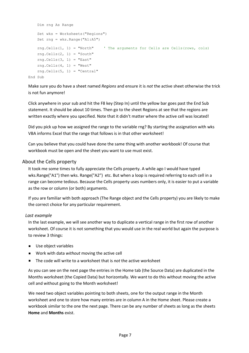```
 Dim rng As Range
    Set wks = Worksheets("Regions")
    Set rng = wks.Range("A1:A5")
    rng.Cells(1, 1) = "North" ' The arguments for Cells are Cells(rows, cols)
    rng.Cells(2, 1) = "South"
   rng.Cells(3, 1) = "East"rng.Cells(4, 1) = "West"
    rng.Cells(5, 1) = "Central"End Sub
```
Make sure you do have a sheet named *Regions* and ensure it is *not* the active sheet otherwise the trick is not fun anymore!

Click anywhere in your sub and hit the F8 key (Step In) until the yellow bar goes past the End Sub statement. It should be about 10 times. Then go to the sheet Regions at see that the regions are written exactly where you specified. Note that it didn't matter where the active cell was located!

Did you pick up how we assigned the range to the variable rng? By starting the assignation with wks VBA informs Excel that the range that follows is in that other worksheet!

Can you believe that you could have done the same thing with another workbook! Of course that workbook must be open and the sheet you want to use must exist.

# About the Cells property

It took me some times to fully appreciate the Cells property. A while ago I would have typed wks.Range("A1") then wks. Range("A2") etc. But when a loop is required referring to each cell in a range can become tedious. Because the Cells property uses numbers only, it is easier to put a variable as the row or column (or both) arguments.

If you are familiar with both approach (The Range object and the Cells property) you are likely to make the correct choice for any particular requirement.

#### *Last example*

In the last example, we will see another way to duplicate a vertical range in the first row of another worksheet. Of course it is not something that you would use in the real world but again the purpose is to review 3 things:

- **Use object variables**
- Work with data *without* moving the active cell
- The code will write to a worksheet that is *not* the active worksheet

As you can see on the next page the entries in the Home tab (the Source Data) are duplicated in the Months worksheet (the Copied Data) but horizontally. We want to do this without moving the active cell and without going to the Month worksheet!

We need two object variables pointing to both sheets, one for the output range in the Month worksheet and one to store how many entries are in column A in the Home sheet. Please create a workbook similar to the one the next page. There can be any number of sheets as long as the sheets **Home** and **Months** exist.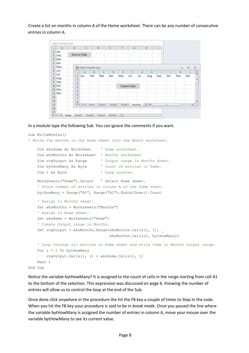Create a list on months in column A of the Home worksheet. There can be any number of consecutive entries in column A.

| $-11$                                   | A                                                              | 百              | $\overline{C}$ |                             | <b>D</b> | E      | 手。     | G           |                | H    | T.  |            |               |                                 |    |
|-----------------------------------------|----------------------------------------------------------------|----------------|----------------|-----------------------------|----------|--------|--------|-------------|----------------|------|-----|------------|---------------|---------------------------------|----|
| ï                                       | Jan                                                            |                |                |                             |          |        |        |             |                |      |     |            |               |                                 |    |
| $\overline{2}$                          | Feb                                                            |                | Source Data    |                             |          |        |        |             |                |      |     |            |               |                                 |    |
| 3                                       | Mar                                                            |                |                |                             |          |        |        |             |                |      |     |            |               |                                 |    |
| $\ddot{a}$                              | Apr                                                            |                |                |                             |          |        |        |             |                |      |     |            |               |                                 |    |
| 5                                       | May                                                            | 固              |                | <b>Object Vanables vism</b> |          |        |        |             |                |      |     |            | $\Rightarrow$ | 僵                               | is |
| 6.                                      | -Jun                                                           | ×              | W              | $\overline{v}$              | c        | Ð      | Ε      | F           | $\overline{6}$ | H    |     |            | ĸ             |                                 | Ę  |
|                                         | $7$ Jul                                                        |                | Jan            | Feb                         | Mar      | Apr    | May    | Jun         | Jul            | Aug. | Sep | <b>Dct</b> | Nov.          | Dec                             |    |
| $\,$ H                                  | Aug                                                            | ī              |                |                             |          |        |        |             |                |      |     |            |               |                                 |    |
| 9                                       | Sep                                                            | $\frac{2}{3}$  |                |                             |          |        |        |             |                |      |     |            |               |                                 |    |
|                                         | 10 Oct                                                         | $\ddot{a}$     |                |                             |          |        |        | Copied Data |                |      |     |            |               |                                 |    |
|                                         | 11 Nov                                                         |                |                |                             |          |        |        |             |                |      |     |            |               |                                 |    |
|                                         | 12 Dec                                                         | $\frac{1}{10}$ |                |                             |          |        |        |             |                |      |     |            |               |                                 |    |
|                                         |                                                                |                |                |                             |          |        |        |             |                |      |     |            |               |                                 |    |
| $\begin{array}{c} 13 \\ 14 \end{array}$ |                                                                |                |                |                             |          |        |        |             |                |      |     |            |               |                                 |    |
|                                         |                                                                |                | N 4 P H Horne  |                             | Sheet1   | Sheet2 | Sheet3 |             | Months 221141  |      |     | ×          |               | $\blacktriangleright$ [1] $\pm$ |    |
|                                         | $\begin{array}{l} 15\\ 16\\ 37\\ 0\\ 4\ 2\ 8\ 4\  \end{array}$ |                |                |                             |          |        |        |             |                |      |     |            |               |                                 |    |
|                                         |                                                                |                |                |                             |          |        |        |             |                |      |     |            |               |                                 |    |

In a module type the following Sub. You can ignore the comments if you want.

```
Sub WriteMonths()
' Write the months in the Home sheet into the Month worksheet.
     Dim wksHome As Worksheet ' Home worksheet.
    Dim wksMonths As Worksheet ' Months worksheet.
 Dim rngOutput As Range ' Output range in Months sheet.
 Dim bytHowMany As Byte ' Count of entries in Home.
   Dim i As Byte \qquad \qquad ' Loop counter.
    Worksheets("Home").Select ' Select Home sheet.
     ' Store number of entries in column A of the Home sheet.
    bytHowMany = Range("A1", Range("A1").End(xlDown)).Count
     ' Assign to Months sheet.
    Set wksMonths = Worksheets("Months")
     ' Assign to Home sheet.
     Set wksHome = Worksheets("Home")
     ' Create Output range in Months.
   Set rngOutput = wksMonths.Range(wksMonths.Cells(1, 1),
                                    wksMonths.Cells(1, bytHowMany))
     ' Loop through all entries in Home sheet and write them in Months output range.
   For i = 1 To bytHowMany
        rngOutput.Cells(1, i) = wksHome.Cells(i, 1)
    Next i
End Sub
```
Notice the variable bytHowMany? It is assigned to the count of cells in the range starting from cell A1 to the bottom of the selection. This expression was discussed on page 6. Knowing the number of entries will allow us to control the loop at the end of the Sub.

Once done click anywhere in the procedure the hit the F8 key a couple of times to Step In the code. When you hit the F8 key your procedure is said to be in *break mode*. Once you passed the line where the variable bytHowMany is assigned the number of entries in column A, move your mouse over the variable bytHowMany to see its current value.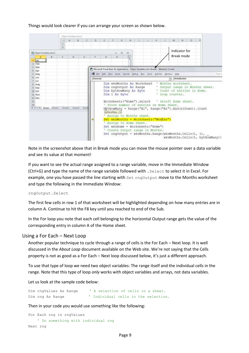#### Things would look clearer if you can arrange your screen as shown below.

|                                              |    |        | Chyect Variatiles attend: |         |    |                                                                                                                                                                                                |                                                                                                                                                                                                                                                                                          |   |  |  |  |                                    |   |               |          |                                                                                                                     |                                 |
|----------------------------------------------|----|--------|---------------------------|---------|----|------------------------------------------------------------------------------------------------------------------------------------------------------------------------------------------------|------------------------------------------------------------------------------------------------------------------------------------------------------------------------------------------------------------------------------------------------------------------------------------------|---|--|--|--|------------------------------------|---|---------------|----------|---------------------------------------------------------------------------------------------------------------------|---------------------------------|
|                                              |    | z      | $\Lambda$                 | к.<br>c | D. |                                                                                                                                                                                                | its.                                                                                                                                                                                                                                                                                     | Ħ |  |  |  |                                    | M | N             | $\alpha$ |                                                                                                                     |                                 |
| (2) Object Variables.xlim.1.                 |    |        |                           |         |    |                                                                                                                                                                                                | 园<br>o                                                                                                                                                                                                                                                                                   | ä |  |  |  |                                    |   | Indicator for |          |                                                                                                                     |                                 |
| ж<br>Jan<br>Feb<br>$\mathcal{D}$             | B. | C.     | D.                        | E.      | F. | 资                                                                                                                                                                                              | 刊                                                                                                                                                                                                                                                                                        | 珊 |  |  |  |                                    |   | Break mode    |          |                                                                                                                     |                                 |
| Mar                                          |    |        |                           |         |    |                                                                                                                                                                                                |                                                                                                                                                                                                                                                                                          |   |  |  |  |                                    |   |               |          |                                                                                                                     |                                 |
| 4 Apr<br>5 May<br>6 Jun<br>$2.1$ ut          |    |        |                           |         |    | Microsoft Visual Basic for Applications - Object Variables vism [break] - [Module] (Code)]<br>Eit Edt Yess Juset Farmat Debug Ban Tools Add-Ins. Window Help<br>WriteMonths<br>(General)<br>۰۱ |                                                                                                                                                                                                                                                                                          |   |  |  |  |                                    |   | Турија        |          |                                                                                                                     |                                 |
| 8 Aug<br>9.5ep<br>10 Oct<br>11 Nov<br>32 Dec |    |        |                           |         |    |                                                                                                                                                                                                | Dim wksMonths As Worksheet<br>Dim rngOutput As Range<br>Dim bytHowMany As Byte<br>Dim i As Byte                                                                                                                                                                                          |   |  |  |  | Months worksheet.<br>Loop counter. |   |               |          | ' Output range in Months sheet.<br>' Count of entries in Home.                                                      |                                 |
| 13<br>34<br>M 4 4 H Home Sheet!              |    | Sheet2 | Sheet3                    | Mont    | E) |                                                                                                                                                                                                | Worksheets ("Home"). Select ' Seleft Home sheet.<br>' Store number of entries on Home sheet,<br>bytHowMany = 12<br>' Assign to Months sheet.<br>Set wksMonths = Worksheets ("Months")<br>' Assign to Home sheet.<br>Set wksHome = Worksheets("Home")<br>' Create Output range in Months. |   |  |  |  |                                    |   |               |          | bytHowMany = Range("Al", Range("Al"). End(xlDown)). Count<br>Set rngOutput = wksMonths.Range(wksMonths.Cells(1, 1), | wksMonths.Cells(1, bytHowMany)) |

Note in the screenshot above that in Break mode you can move the mouse pointer over a data variable and see its value at that moment!

If you want to see the actual range assigned to a range variable, move in the Immediate Window (Ctrl+G) and type the name of the range variable followed with . Select to select it in Excel. For example, one you have passed the line starting with Set rngOutput move to the Months worksheet and type the following in the Immediate Window:

#### rngOutput.Select

The first few cells in row 1 of that worksheet will be highlighted depending on how many entries are in column A. Continue to hit the F8 key until you reached to end of the Sub.

In the For loop you note that each cell belonging to the horizontal Output range gets the value of the corresponding entry in column A of the Home sheet.

#### Using a For Each – Next Loop

Another popular technique to cycle through a range of cells is the For Each – Next loop. It is well discussed in the *About Loop* document available on the Web site. We're not saying that the Cells property is not as good as a For Each – Next loop discussed below, it's just a different approach.

To use that type of loop we need two object variables: The range itself and the individual cells in the range. Note that this type of loop *only* works with object variables and arrays, not data variables.

#### Let us look at the sample code below:

Dim rngValues As Range ' A selection of cells in a sheet. Dim rng As Range **'** Individual cells in the selection.

#### Then in your code you would use something like the following:

```
For Each rng in rngValues
    ' Do something with individual rng
Next rng
```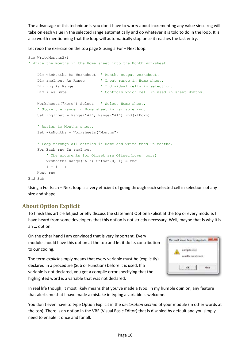The advantage of this technique is you don't have to worry about incrementing any value since rng will take on each value in the selected range automatically and do whatever it is told to do in the loop. It is also worth mentionning that the loop will automatically stop once it reaches the last entry.

Let redo the exercise on the top page 8 using a For – Next loop.

```
Sub WriteMonths2()
' Write the months in the Home sheet into the Month worksheet.
     Dim wksMonths As Worksheet ' Months output worksheet.
   Dim rngInput As Range ' Input range in Home sheet.
   Dim rng As Range \qquad \qquad ' Individual cells in selection.
    Dim i As Byte ' Controls which cell in used in sheet Months.
    Worksheets("Home").Select ' Select Home sheet.
     ' Store the range in Home sheet in variable rng.
    Set rngInput = Range("A1", Range("A1").End(xlDown))
     ' Assign to Months sheet.
    Set wksMonths = Worksheets("Months")
     ' Loop through all entries in Home and write them in Months.
    For Each rng In rngInput
         ' The arguments for Offset are Offset(rows, cols)
       wksMonths.Range("A1").Offset(0, i) = rngi = i + 1 Next rng
End Sub
```
Using a For Each – Next loop is a very efficient of going through each selected cell in selections of any size and shape.

# **About Option Explicit**

To finish this article let just briefly discuss the statement Option Explicit at the top or every module. I have heard from some developers that this option is not strictly necessary. Well, maybe that is why it is an … option.

On the other hand I am convinced that is very important. Every module should have this option at the top and let it do its contribution to our coding.

The term *explicit* simply means that every variable must be (explicitly) declared in a procedure (Sub or Function) before it is used. If a variable is not declared, you get a compile error specifying that the highlighted word is a variable that was not declared.

|  | Compile error: |                      |      |  |
|--|----------------|----------------------|------|--|
|  |                |                      |      |  |
|  |                | Variable not defined |      |  |
|  |                |                      |      |  |
|  |                |                      | Help |  |

In real life though, it most likely means that you've made a typo. In my humble opinion, any feature that alerts me that I have made a mistake in typing a variable is welcome.

You don't even have to type Option Explicit in the *declaration section* of your module (in other words at the top). There is an option in the VBE (Visual Basic Editor) that is disabled by default and you simply need to enable it once and for all.